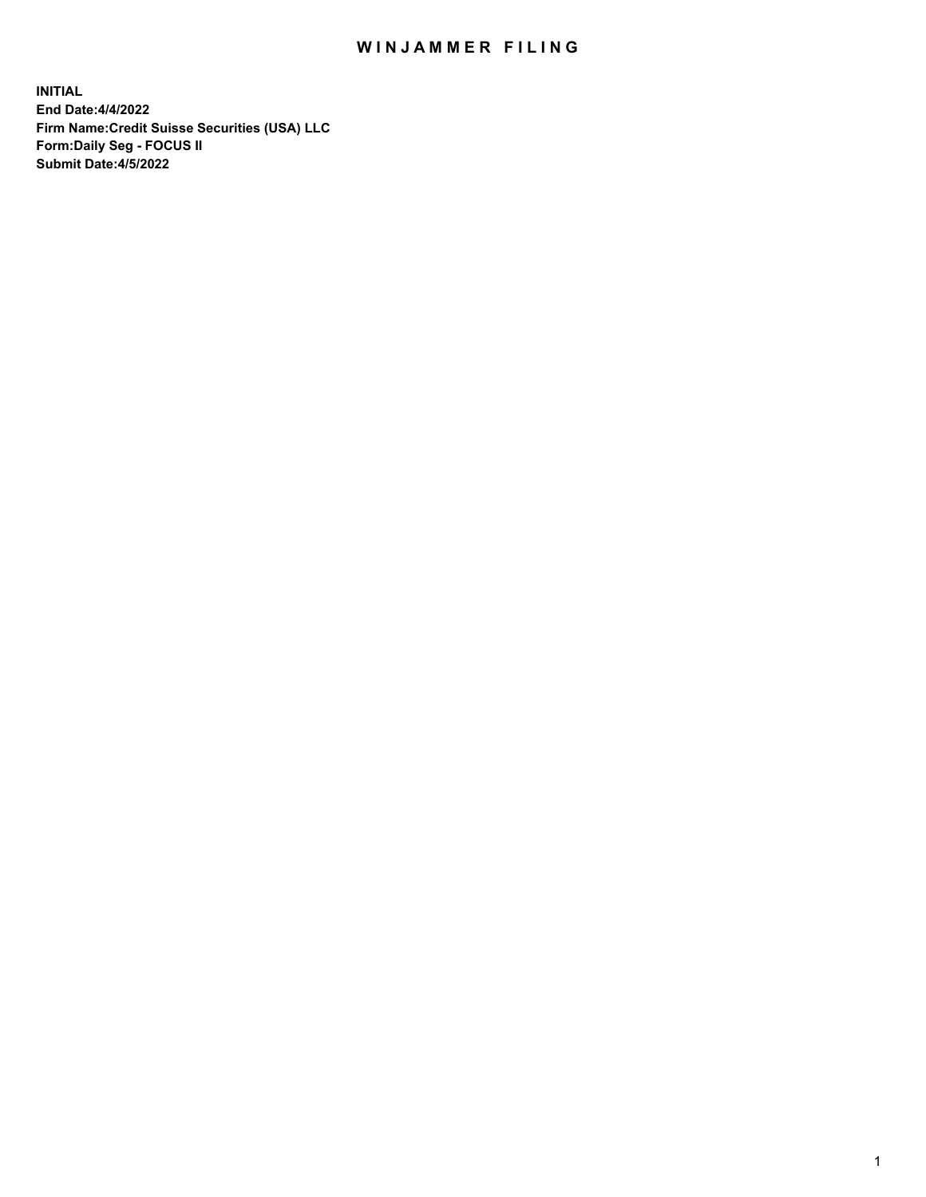# WIN JAMMER FILING

**INITIAL End Date:4/4/2022 Firm Name:Credit Suisse Securities (USA) LLC Form:Daily Seg - FOCUS II Submit Date:4/5/2022**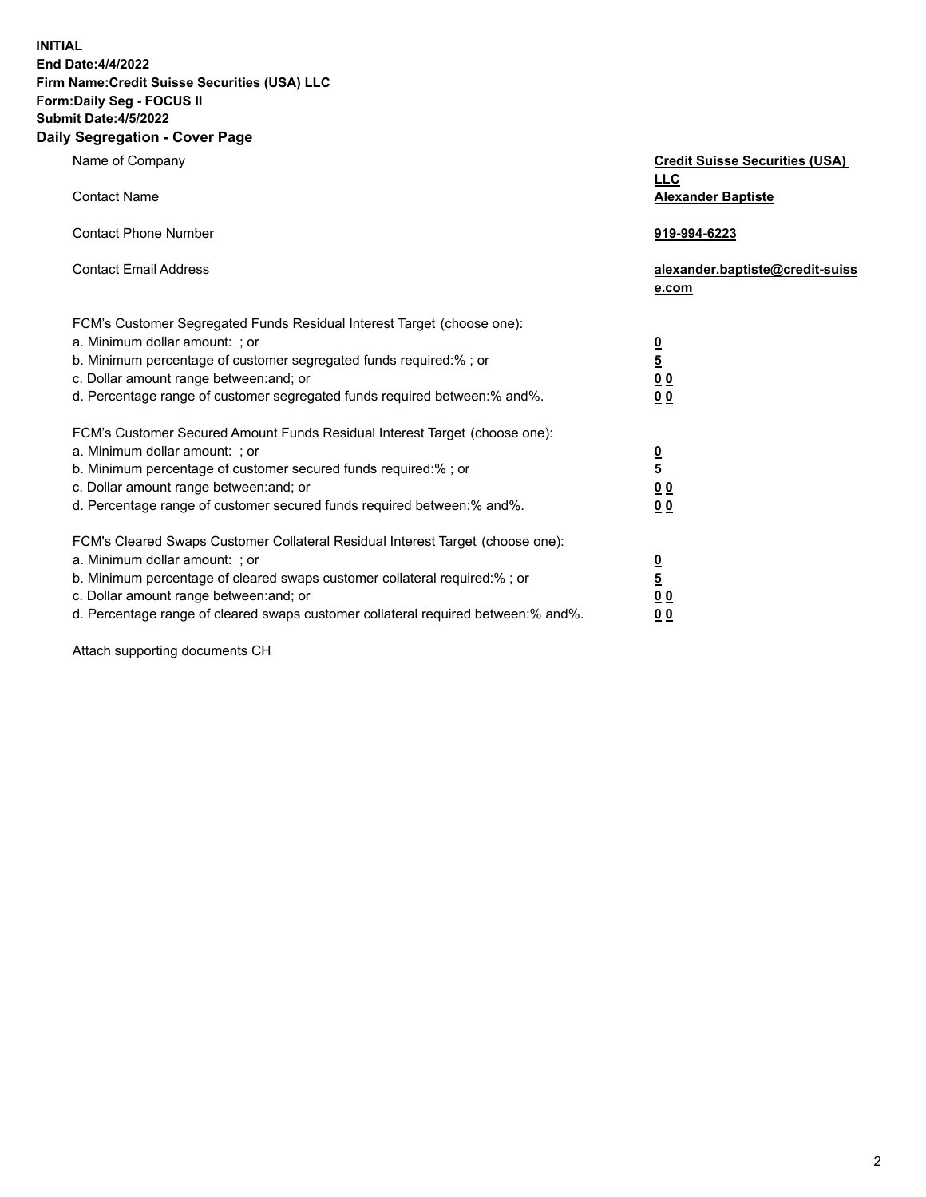**INITIAL**

#### **End Date:4/4/2022 Firm Name:Credit Suisse Securities (USA) LLC Form:Daily Seg - FOCUS II Submit Date:4/5/2022**

# **Daily Segregation - Cover Page**

| Name of Company                                                                   | <b>Credit Suisse Securities (USA)</b><br><b>LLC</b> |
|-----------------------------------------------------------------------------------|-----------------------------------------------------|
| <b>Contact Name</b>                                                               | <b>Alexander Baptiste</b>                           |
| <b>Contact Phone Number</b>                                                       | 919-994-6223                                        |
| <b>Contact Email Address</b>                                                      | alexander.baptiste@credit-suiss<br>e.com            |
| FCM's Customer Segregated Funds Residual Interest Target (choose one):            |                                                     |
| a. Minimum dollar amount: ; or                                                    |                                                     |
| b. Minimum percentage of customer segregated funds required:% ; or                | $\frac{0}{5}$                                       |
| c. Dollar amount range between: and; or                                           | 0 <sub>0</sub>                                      |
| d. Percentage range of customer segregated funds required between:% and%.         | 0 <sub>0</sub>                                      |
| FCM's Customer Secured Amount Funds Residual Interest Target (choose one):        |                                                     |
| a. Minimum dollar amount: ; or                                                    | $\frac{0}{5}$                                       |
| b. Minimum percentage of customer secured funds required:% ; or                   |                                                     |
| c. Dollar amount range between: and; or                                           | 0 <sub>0</sub>                                      |
| d. Percentage range of customer secured funds required between:% and%.            | 0 <sub>0</sub>                                      |
| FCM's Cleared Swaps Customer Collateral Residual Interest Target (choose one):    |                                                     |
| a. Minimum dollar amount: : or                                                    | $\frac{0}{5}$                                       |
| b. Minimum percentage of cleared swaps customer collateral required:% ; or        |                                                     |
| c. Dollar amount range between: and; or                                           | $\underline{0}$ $\underline{0}$                     |
| d. Percentage range of cleared swaps customer collateral required between:% and%. | 0 <sub>0</sub>                                      |

Attach supporting documents CH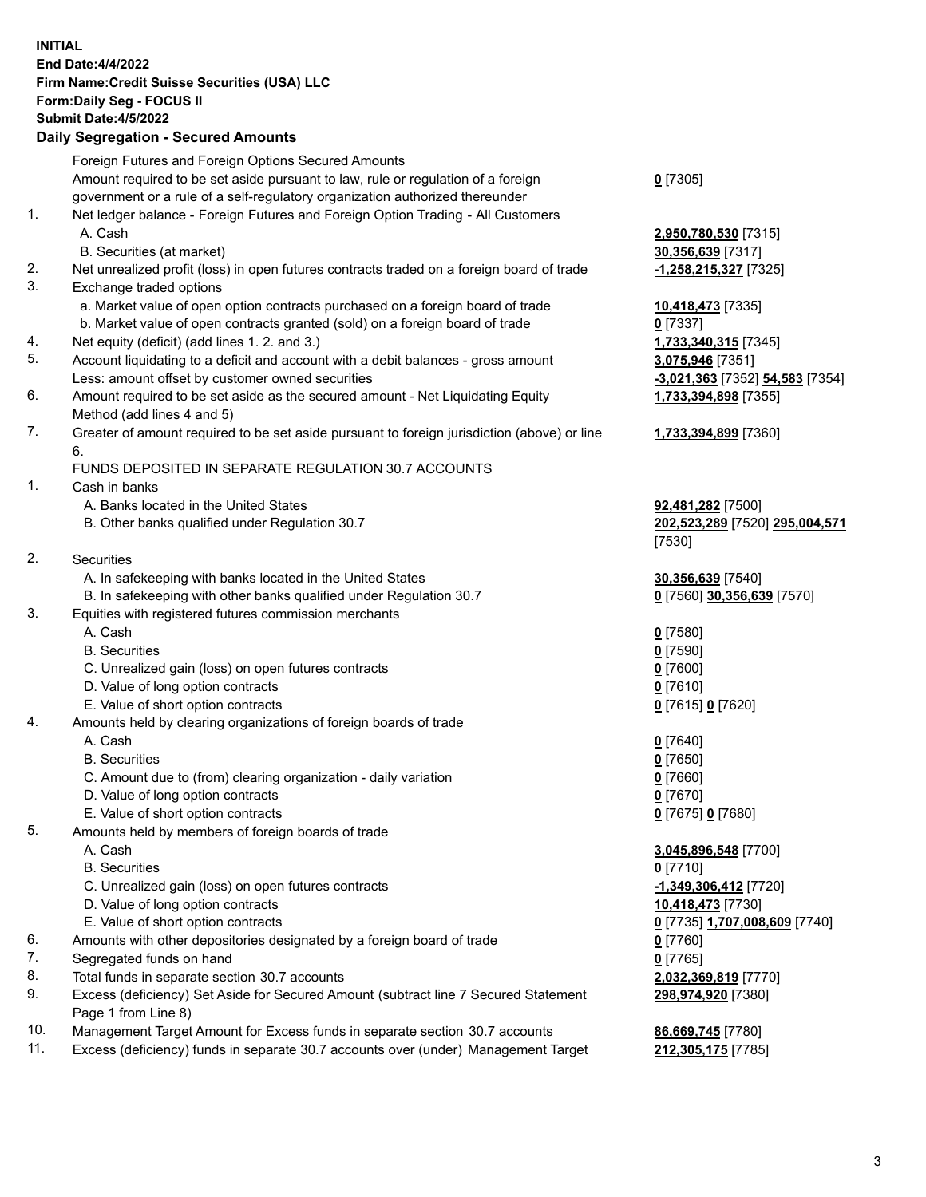## **INITIAL End Date:4/4/2022 Firm Name:Credit Suisse Securities (USA) LLC Form:Daily Seg - FOCUS II Submit Date:4/5/2022**

## **Daily Segregation - Secured Amounts**

|     | Foreign Futures and Foreign Options Secured Amounts                                         |                                 |
|-----|---------------------------------------------------------------------------------------------|---------------------------------|
|     | Amount required to be set aside pursuant to law, rule or regulation of a foreign            | $0$ [7305]                      |
|     | government or a rule of a self-regulatory organization authorized thereunder                |                                 |
| 1.  | Net ledger balance - Foreign Futures and Foreign Option Trading - All Customers             |                                 |
|     | A. Cash                                                                                     | 2,950,780,530 [7315]            |
|     | B. Securities (at market)                                                                   | 30,356,639 [7317]               |
| 2.  | Net unrealized profit (loss) in open futures contracts traded on a foreign board of trade   | -1,258,215,327 [7325]           |
| 3.  | Exchange traded options                                                                     |                                 |
|     | a. Market value of open option contracts purchased on a foreign board of trade              | 10,418,473 [7335]               |
|     | b. Market value of open contracts granted (sold) on a foreign board of trade                | $0$ [7337]                      |
| 4.  | Net equity (deficit) (add lines 1. 2. and 3.)                                               | 1,733,340,315 [7345]            |
| 5.  | Account liquidating to a deficit and account with a debit balances - gross amount           | 3,075,946 [7351]                |
|     | Less: amount offset by customer owned securities                                            | -3,021,363 [7352] 54,583 [7354] |
| 6.  | Amount required to be set aside as the secured amount - Net Liquidating Equity              | 1,733,394,898 [7355]            |
|     | Method (add lines 4 and 5)                                                                  |                                 |
| 7.  | Greater of amount required to be set aside pursuant to foreign jurisdiction (above) or line | 1,733,394,899 [7360]            |
|     | 6.                                                                                          |                                 |
|     | FUNDS DEPOSITED IN SEPARATE REGULATION 30.7 ACCOUNTS                                        |                                 |
| 1.  | Cash in banks                                                                               |                                 |
|     | A. Banks located in the United States                                                       | 92,481,282 [7500]               |
|     | B. Other banks qualified under Regulation 30.7                                              | 202,523,289 [7520] 295,004,571  |
|     |                                                                                             | [7530]                          |
| 2.  | Securities                                                                                  |                                 |
|     | A. In safekeeping with banks located in the United States                                   | 30,356,639 [7540]               |
|     | B. In safekeeping with other banks qualified under Regulation 30.7                          | 0 [7560] 30,356,639 [7570]      |
| 3.  | Equities with registered futures commission merchants                                       |                                 |
|     | A. Cash                                                                                     | $0$ [7580]                      |
|     | <b>B.</b> Securities                                                                        | $0$ [7590]                      |
|     | C. Unrealized gain (loss) on open futures contracts                                         | $0$ [7600]                      |
|     | D. Value of long option contracts                                                           | $0$ [7610]                      |
|     | E. Value of short option contracts                                                          | 0 [7615] 0 [7620]               |
| 4.  | Amounts held by clearing organizations of foreign boards of trade                           |                                 |
|     | A. Cash                                                                                     | $0$ [7640]                      |
|     | <b>B.</b> Securities                                                                        | $0$ [7650]                      |
|     | C. Amount due to (from) clearing organization - daily variation                             | $0$ [7660]                      |
|     | D. Value of long option contracts                                                           | $0$ [7670]                      |
|     | E. Value of short option contracts                                                          | 0 [7675] 0 [7680]               |
| 5.  | Amounts held by members of foreign boards of trade                                          |                                 |
|     | A. Cash                                                                                     | 3,045,896,548 [7700]            |
|     | <b>B.</b> Securities                                                                        | $0$ [7710]                      |
|     | C. Unrealized gain (loss) on open futures contracts                                         | -1,349,306,412 [7720]           |
|     | D. Value of long option contracts                                                           | 10,418,473 [7730]               |
|     | E. Value of short option contracts                                                          | 0 [7735] 1,707,008,609 [7740]   |
| 6.  | Amounts with other depositories designated by a foreign board of trade                      | 0 [7760]                        |
| 7.  | Segregated funds on hand                                                                    | $0$ [7765]                      |
| 8.  | Total funds in separate section 30.7 accounts                                               | 2,032,369,819 [7770]            |
| 9.  | Excess (deficiency) Set Aside for Secured Amount (subtract line 7 Secured Statement         | 298,974,920 [7380]              |
|     | Page 1 from Line 8)                                                                         |                                 |
| 10. | Management Target Amount for Excess funds in separate section 30.7 accounts                 | 86,669,745 [7780]               |

11. Excess (deficiency) funds in separate 30.7 accounts over (under) Management Target **212,305,175** [7785]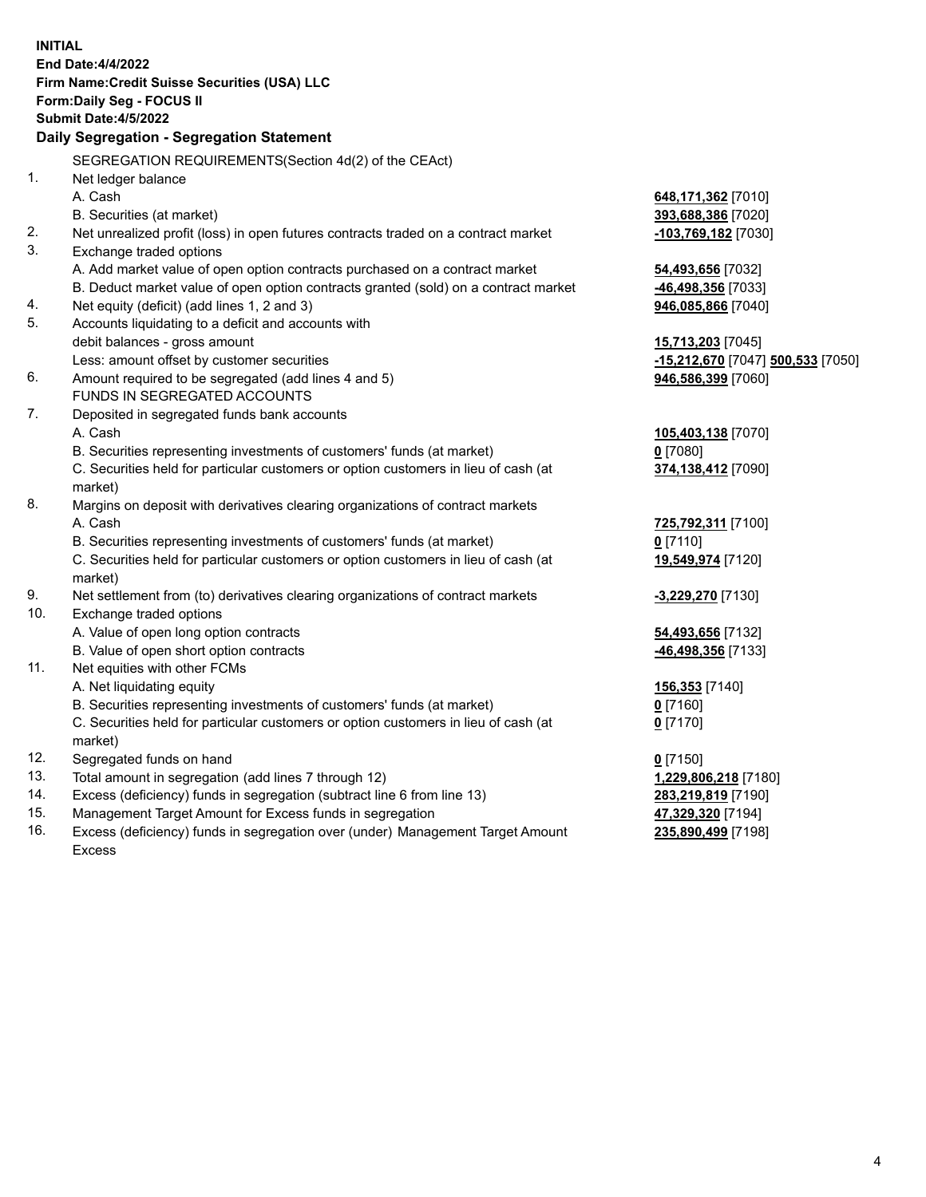|     | <b>INITIAL</b>                                                                      |                                   |
|-----|-------------------------------------------------------------------------------------|-----------------------------------|
|     | End Date: 4/4/2022                                                                  |                                   |
|     | Firm Name: Credit Suisse Securities (USA) LLC                                       |                                   |
|     | Form: Daily Seg - FOCUS II                                                          |                                   |
|     | <b>Submit Date: 4/5/2022</b>                                                        |                                   |
|     | Daily Segregation - Segregation Statement                                           |                                   |
|     | SEGREGATION REQUIREMENTS(Section 4d(2) of the CEAct)                                |                                   |
| 1.  | Net ledger balance                                                                  |                                   |
|     | A. Cash                                                                             | 648,171,362 [7010]                |
|     | B. Securities (at market)                                                           | 393,688,386 [7020]                |
| 2.  | Net unrealized profit (loss) in open futures contracts traded on a contract market  | <u>-103,769,182</u> [7030]        |
| 3.  | Exchange traded options                                                             |                                   |
|     | A. Add market value of open option contracts purchased on a contract market         | 54,493,656 [7032]                 |
|     | B. Deduct market value of open option contracts granted (sold) on a contract market | -46,498,356 [7033]                |
| 4.  | Net equity (deficit) (add lines 1, 2 and 3)                                         | 946,085,866 [7040]                |
| 5.  | Accounts liquidating to a deficit and accounts with                                 |                                   |
|     | debit balances - gross amount                                                       | 15,713,203 [7045]                 |
|     | Less: amount offset by customer securities                                          | -15,212,670 [7047] 500,533 [7050] |
| 6.  | Amount required to be segregated (add lines 4 and 5)                                | 946,586,399 [7060]                |
|     | FUNDS IN SEGREGATED ACCOUNTS                                                        |                                   |
| 7.  | Deposited in segregated funds bank accounts                                         |                                   |
|     | A. Cash                                                                             | 105,403,138 [7070]                |
|     | B. Securities representing investments of customers' funds (at market)              | $0$ [7080]                        |
|     | C. Securities held for particular customers or option customers in lieu of cash (at | 374,138,412 [7090]                |
|     | market)                                                                             |                                   |
| 8.  | Margins on deposit with derivatives clearing organizations of contract markets      |                                   |
|     | A. Cash                                                                             | 725,792,311 [7100]                |
|     | B. Securities representing investments of customers' funds (at market)              | $0$ [7110]                        |
|     | C. Securities held for particular customers or option customers in lieu of cash (at | 19,549,974 [7120]                 |
|     | market)                                                                             |                                   |
| 9.  | Net settlement from (to) derivatives clearing organizations of contract markets     | -3,229,270 [7130]                 |
| 10. | Exchange traded options                                                             |                                   |
|     | A. Value of open long option contracts                                              | 54,493,656 [7132]                 |
|     | B. Value of open short option contracts                                             | -46,498,356 [7133]                |
| 11. | Net equities with other FCMs                                                        |                                   |
|     | A. Net liquidating equity                                                           | 156,353 [7140]                    |
|     | B. Securities representing investments of customers' funds (at market)              | $0$ [7160]                        |
|     | C. Securities held for particular customers or option customers in lieu of cash (at | $0$ [7170]                        |
|     | market)                                                                             |                                   |
| 12. | Segregated funds on hand                                                            | $0$ [7150]                        |
| 13. | Total amount in segregation (add lines 7 through 12)                                | 1,229,806,218 [7180]              |
| 14. | Excess (deficiency) funds in segregation (subtract line 6 from line 13)             | 283,219,819 [7190]                |
| 15. | Management Target Amount for Excess funds in segregation                            | 47,329,320 [7194]                 |
| 16. | Excess (deficiency) funds in segregation over (under) Management Target Amount      | 235,890,499 [7198]                |
|     | Excess                                                                              |                                   |